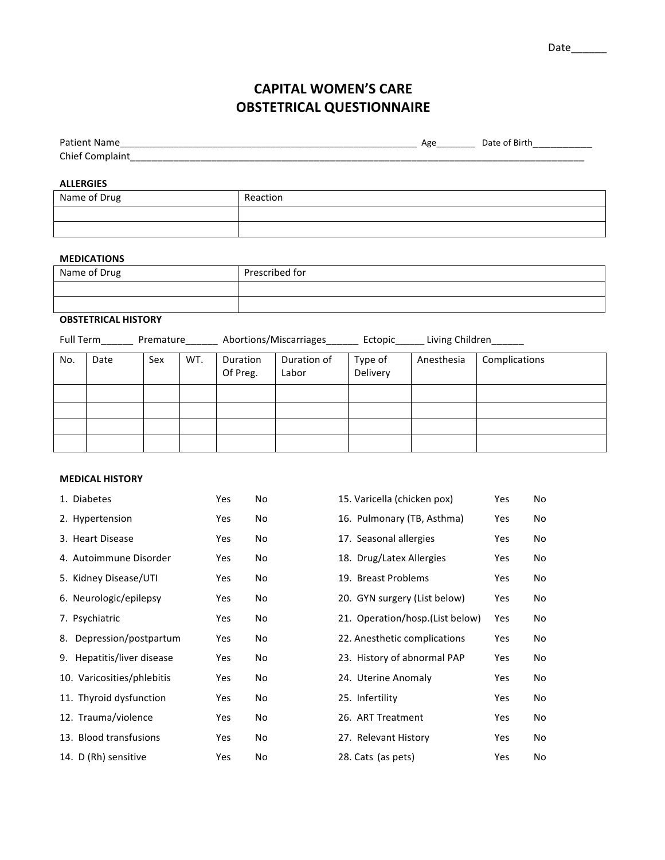# **CAPITAL WOMEN'S CARE OBSTETRICAL QUESTIONNAIRE**

| $D2$ tic<br>_______<br>______                                    | ns.<br>_______ | <b>Birt</b><br>^atر<br>.<br>__<br>_________<br>___ |
|------------------------------------------------------------------|----------------|----------------------------------------------------|
| Chief<br>…∩m∽<br>_______________________<br>_________<br>_______ |                | _____                                              |

## **ALLERGIES**

| Name of Drug | Reaction |
|--------------|----------|
|              |          |
|              |          |

#### **MEDICATIONS**

| Name of Drug | Prescribed for |
|--------------|----------------|
|              |                |
|              |                |

## **OBSTETRICAL HISTORY**

Full Term\_\_\_\_\_\_\_ Premature\_\_\_\_\_\_\_ Abortions/Miscarriages\_\_\_\_\_\_ Ectopic\_\_\_\_\_\_ Living Children\_\_\_\_\_\_

| No. | Date | Sex | WT. | Duration<br>Of Preg. | Duration of<br>Labor | Type of<br>Delivery | Anesthesia | Complications |
|-----|------|-----|-----|----------------------|----------------------|---------------------|------------|---------------|
|     |      |     |     |                      |                      |                     |            |               |
|     |      |     |     |                      |                      |                     |            |               |
|     |      |     |     |                      |                      |                     |            |               |
|     |      |     |     |                      |                      |                     |            |               |

### **MEDICAL HISTORY**

| 1. Diabetes                 | Yes | No | 15. Varicella (chicken pox)      | Yes | No |
|-----------------------------|-----|----|----------------------------------|-----|----|
| 2. Hypertension             | Yes | No | 16. Pulmonary (TB, Asthma)       | Yes | No |
| 3. Heart Disease            | Yes | No | 17. Seasonal allergies           | Yes | No |
| 4. Autoimmune Disorder      | Yes | No | 18. Drug/Latex Allergies         | Yes | No |
| 5. Kidney Disease/UTI       | Yes | No | 19. Breast Problems              | Yes | No |
| 6. Neurologic/epilepsy      | Yes | No | 20. GYN surgery (List below)     | Yes | No |
| 7. Psychiatric              | Yes | No | 21. Operation/hosp. (List below) | Yes | No |
| Depression/postpartum<br>8. | Yes | No | 22. Anesthetic complications     | Yes | No |
| 9. Hepatitis/liver disease  | Yes | No | 23. History of abnormal PAP      | Yes | No |
| 10. Varicosities/phlebitis  | Yes | No | 24. Uterine Anomaly              | Yes | No |
| 11. Thyroid dysfunction     | Yes | No | 25. Infertility                  | Yes | No |
| 12. Trauma/violence         | Yes | No | 26. ART Treatment                | Yes | No |
| 13. Blood transfusions      | Yes | No | 27. Relevant History             | Yes | No |
| 14. D (Rh) sensitive        | Yes | No | 28. Cats (as pets)               | Yes | No |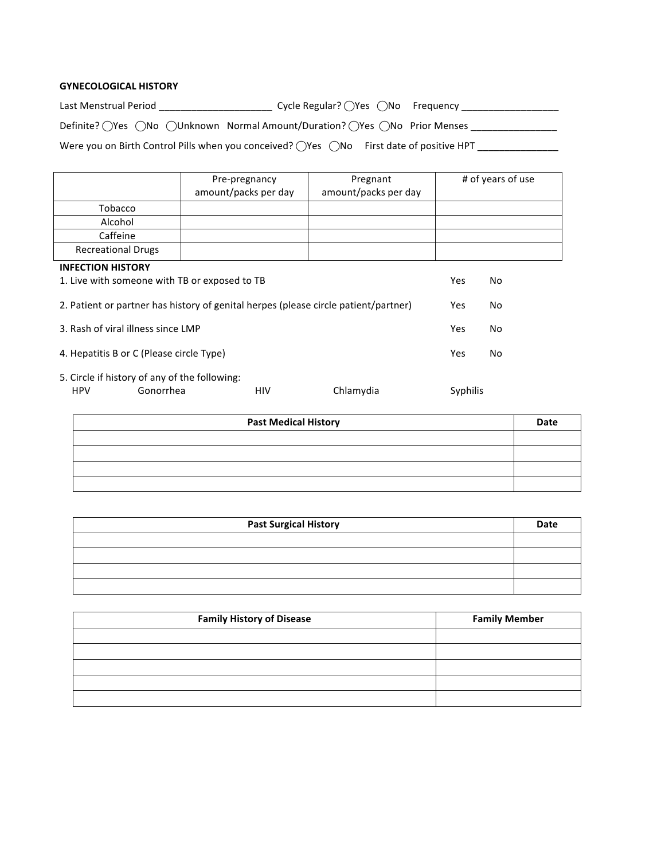## **GYNECOLOGICAL HISTORY**

| Last Menstrual Period                                                                                                      | Cycle Regular? $\bigcirc$ Yes $\bigcirc$ No Frequency |  |
|----------------------------------------------------------------------------------------------------------------------------|-------------------------------------------------------|--|
| Definite? ( $\bigcap$ Yes $\bigcap$ No $\bigcap$ Unknown Normal Amount/Duration? ( $\bigcap$ Yes $\bigcap$ No Prior Menses |                                                       |  |
| Were you on Birth Control Pills when you conceived? ( $\bigcap$ Yes $\bigcap$ No First date of positive HPT                |                                                       |  |

|                                                                                     | Pre-pregnancy<br>amount/packs per day | Pregnant<br>amount/packs per day |            | # of years of use |  |  |
|-------------------------------------------------------------------------------------|---------------------------------------|----------------------------------|------------|-------------------|--|--|
| Tobacco                                                                             |                                       |                                  |            |                   |  |  |
| Alcohol                                                                             |                                       |                                  |            |                   |  |  |
| Caffeine                                                                            |                                       |                                  |            |                   |  |  |
| <b>Recreational Drugs</b>                                                           |                                       |                                  |            |                   |  |  |
| <b>INFECTION HISTORY</b>                                                            |                                       |                                  |            |                   |  |  |
| 1. Live with someone with TB or exposed to TB                                       |                                       |                                  |            | No                |  |  |
| 2. Patient or partner has history of genital herpes (please circle patient/partner) |                                       |                                  | <b>Yes</b> | No                |  |  |
| 3. Rash of viral illness since LMP                                                  |                                       |                                  |            | No                |  |  |
| 4. Hepatitis B or C (Please circle Type)                                            |                                       |                                  | <b>Yes</b> | No                |  |  |
| 5. Circle if history of any of the following:                                       |                                       |                                  |            |                   |  |  |
| Gonorrhea<br><b>HPV</b>                                                             | HIV                                   | Chlamydia                        | Syphilis   |                   |  |  |

| <b>Past Medical History</b> | Date |
|-----------------------------|------|
|                             |      |
|                             |      |
|                             |      |
|                             |      |

| <b>Past Surgical History</b> | Date |
|------------------------------|------|
|                              |      |
|                              |      |
|                              |      |
|                              |      |

| <b>Family History of Disease</b> | <b>Family Member</b> |
|----------------------------------|----------------------|
|                                  |                      |
|                                  |                      |
|                                  |                      |
|                                  |                      |
|                                  |                      |